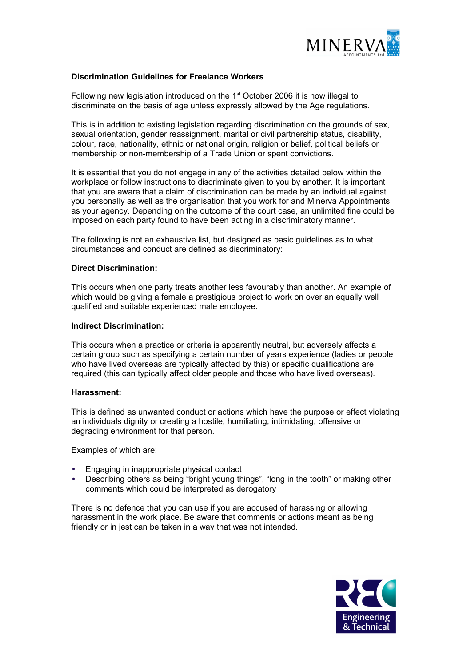

## **Discrimination Guidelines for Freelance Workers**

Following new legislation introduced on the 1<sup>st</sup> October 2006 it is now illegal to discriminate on the basis of age unless expressly allowed by the Age regulations.

This is in addition to existing legislation regarding discrimination on the grounds of sex, sexual orientation, gender reassignment, marital or civil partnership status, disability, colour, race, nationality, ethnic or national origin, religion or belief, political beliefs or membership or non-membership of a Trade Union or spent convictions.

It is essential that you do not engage in any of the activities detailed below within the workplace or follow instructions to discriminate given to you by another. It is important that you are aware that a claim of discrimination can be made by an individual against you personally as well as the organisation that you work for and Minerva Appointments as your agency. Depending on the outcome of the court case, an unlimited fine could be imposed on each party found to have been acting in a discriminatory manner.

The following is not an exhaustive list, but designed as basic guidelines as to what circumstances and conduct are defined as discriminatory:

### **Direct Discrimination:**

This occurs when one party treats another less favourably than another. An example of which would be giving a female a prestigious project to work on over an equally well qualified and suitable experienced male employee.

## **Indirect Discrimination:**

This occurs when a practice or criteria is apparently neutral, but adversely affects a certain group such as specifying a certain number of years experience (ladies or people who have lived overseas are typically affected by this) or specific qualifications are required (this can typically affect older people and those who have lived overseas).

### **Harassment:**

This is defined as unwanted conduct or actions which have the purpose or effect violating an individuals dignity or creating a hostile, humiliating, intimidating, offensive or degrading environment for that person.

Examples of which are:

- Engaging in inappropriate physical contact
- Describing others as being "bright young things", "long in the tooth" or making other comments which could be interpreted as derogatory

There is no defence that you can use if you are accused of harassing or allowing harassment in the work place. Be aware that comments or actions meant as being friendly or in jest can be taken in a way that was not intended.